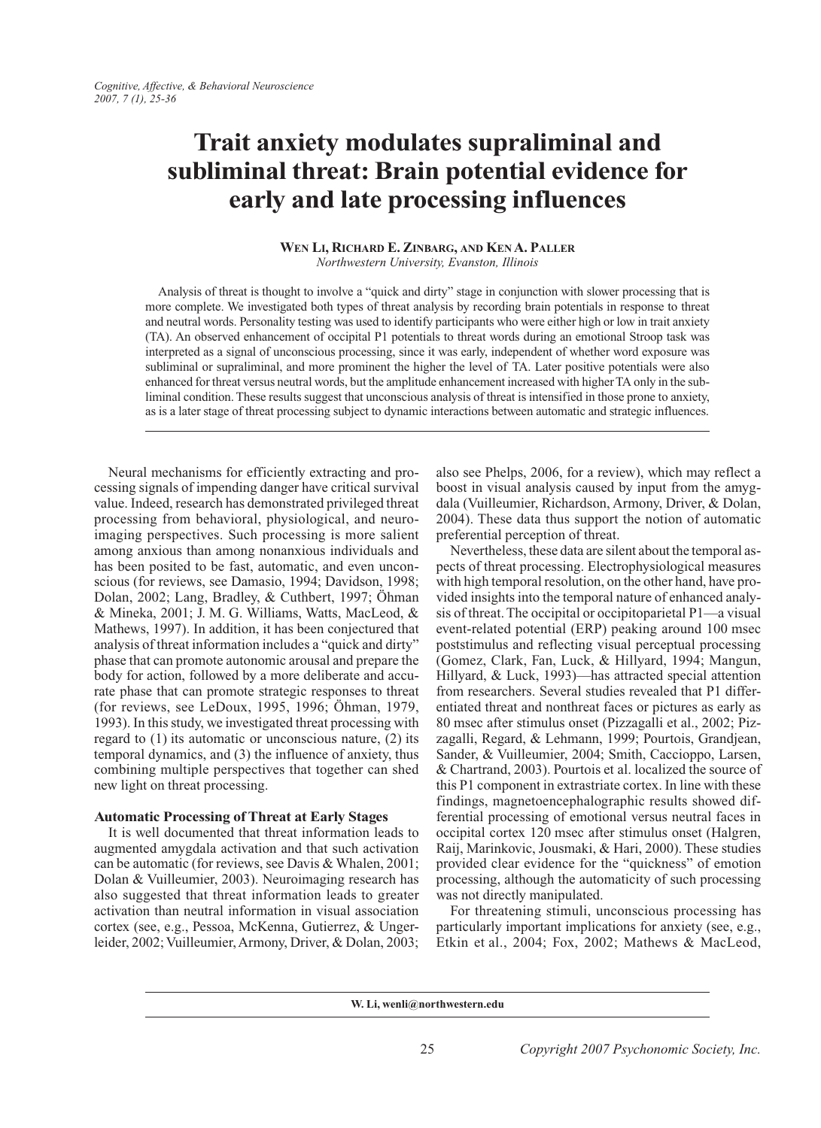# **Trait anxiety modulates supraliminal and** subliminal threat: Brain potential evidence for early and late processing influences

# WEN LI, RICHARD E. ZINBARG, AND KEN A. PALLER

Northwestern University, Evanston, Illinois

Analysis of threat is thought to involve a "quick and dirty" stage in conjunction with slower processing that is more complete. We investigated both types of threat analysis by recording brain potentials in response to threat and neutral words. Personality testing was used to identify participants who were either high or low in trait anxiety (TA). An observed enhancement of occipital P1 potentials to threat words during an emotional Stroop task was interpreted as a signal of unconscious processing, since it was early, independent of whether word exposure was subliminal or supraliminal, and more prominent the higher the level of TA. Later positive potentials were also enhanced for threat versus neutral words, but the amplitude enhancement increased with higher TA only in the subliminal condition. These results suggest that unconscious analysis of threat is intensified in those prone to anxiety, as is a later stage of threat processing subject to dynamic interactions between automatic and strategic influences.

Neural mechanisms for efficiently extracting and processing signals of impending danger have critical survival value. Indeed, research has demonstrated privileged threat processing from behavioral, physiological, and neuroimaging perspectives. Such processing is more salient among anxious than among nonanxious individuals and has been posited to be fast, automatic, and even unconscious (for reviews, see Damasio, 1994; Davidson, 1998; Dolan, 2002; Lang, Bradley, & Cuthbert, 1997; Öhman & Mineka, 2001; J. M. G. Williams, Watts, MacLeod, & Mathews, 1997). In addition, it has been conjectured that analysis of threat information includes a "quick and dirty" phase that can promote autonomic arousal and prepare the body for action, followed by a more deliberate and accurate phase that can promote strategic responses to threat (for reviews, see LeDoux, 1995, 1996; Öhman, 1979, 1993). In this study, we investigated threat processing with regard to  $(1)$  its automatic or unconscious nature,  $(2)$  its temporal dynamics, and (3) the influence of anxiety, thus combining multiple perspectives that together can shed new light on threat processing.

# **Automatic Processing of Threat at Early Stages**

It is well documented that threat information leads to augmented amygdala activation and that such activation can be automatic (for reviews, see Davis & Whalen, 2001; Dolan & Vuilleumier, 2003). Neuroimaging research has also suggested that threat information leads to greater activation than neutral information in visual association cortex (see, e.g., Pessoa, McKenna, Gutierrez, & Ungerleider, 2002; Vuilleumier, Armony, Driver, & Dolan, 2003; also see Phelps, 2006, for a review), which may reflect a boost in visual analysis caused by input from the amygdala (Vuilleumier, Richardson, Armony, Driver, & Dolan, 2004). These data thus support the notion of automatic preferential perception of threat.

Nevertheless, these data are silent about the temporal aspects of threat processing. Electrophysiological measures with high temporal resolution, on the other hand, have provided insights into the temporal nature of enhanced analysis of threat. The occipital or occipitoparietal P1—a visual event-related potential (ERP) peaking around 100 msec poststimulus and reflecting visual perceptual processing (Gomez, Clark, Fan, Luck, & Hillyard, 1994; Mangun, Hillyard, & Luck, 1993)—has attracted special attention from researchers. Several studies revealed that P1 differentiated threat and nonthreat faces or pictures as early as 80 msec after stimulus onset (Pizzagalli et al., 2002; Pizzagalli, Regard, & Lehmann, 1999; Pourtois, Grandjean, Sander, & Vuilleumier, 2004; Smith, Caccioppo, Larsen, & Chartrand, 2003). Pourtois et al. localized the source of this P1 component in extrastriate cortex. In line with these findings, magnetoencephalographic results showed differential processing of emotional versus neutral faces in occipital cortex 120 msec after stimulus onset (Halgren, Raij, Marinkovic, Jousmaki, & Hari, 2000). These studies provided clear evidence for the "quickness" of emotion processing, although the automaticity of such processing was not directly manipulated.

For threatening stimuli, unconscious processing has particularly important implications for anxiety (see, e.g., Etkin et al., 2004; Fox, 2002; Mathews & MacLeod,

W. Li, wenli@northwestern.edu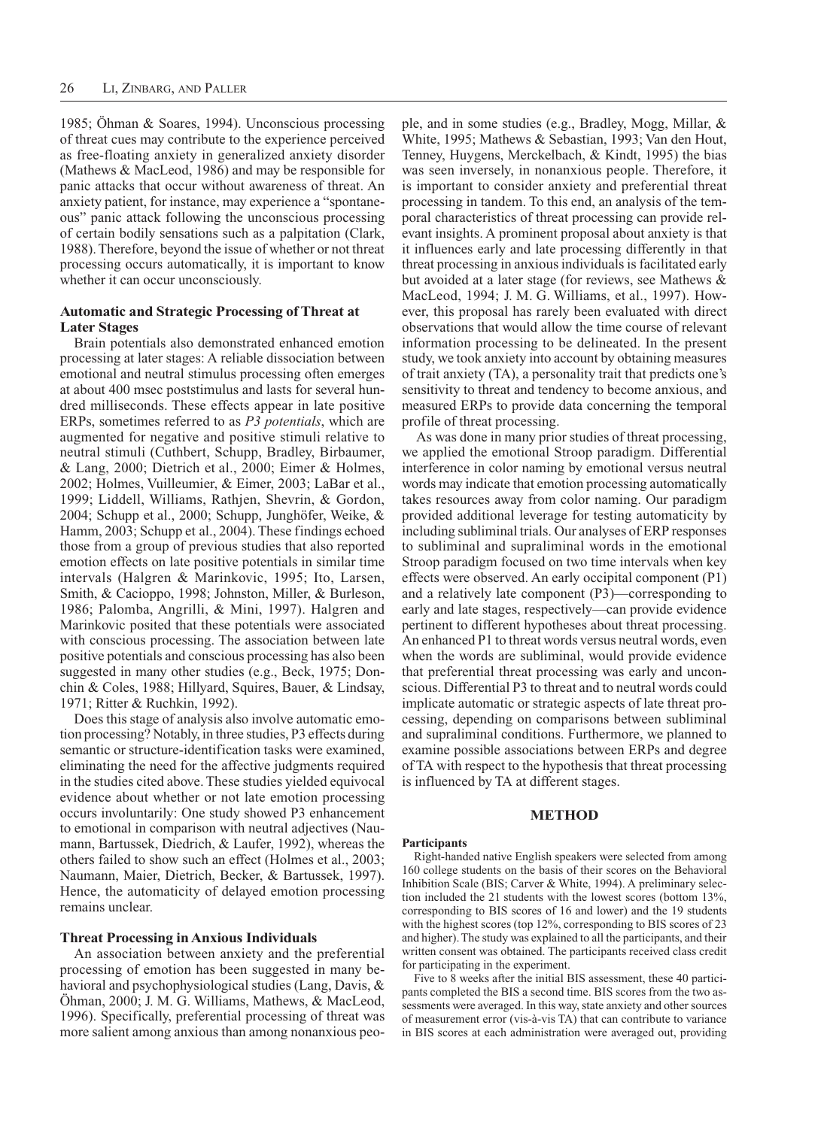1985; Ohman & Soares, 1994). Unconscious processing of threat cues may contribute to the experience perceived as free-floating anxiety in generalized anxiety disorder (Mathews & MacLeod, 1986) and may be responsible for panic attacks that occur without awareness of threat. An anxiety patient, for instance, may experience a "spontaneous" panic attack following the unconscious processing of certain bodily sensations such as a palpitation (Clark, 1988). Therefore, beyond the issue of whether or not threat processing occurs automatically, it is important to know whether it can occur unconsciously.

# **Automatic and Strategic Processing of Threat at Later Stages**

Brain potentials also demonstrated enhanced emotion processing at later stages: A reliable dissociation between emotional and neutral stimulus processing often emerges at about 400 msec poststimulus and lasts for several hundred milliseconds. These effects appear in late positive ERPs, sometimes referred to as P3 potentials, which are augmented for negative and positive stimuli relative to neutral stimuli (Cuthbert, Schupp, Bradley, Birbaumer, & Lang, 2000; Dietrich et al., 2000; Eimer & Holmes, 2002; Holmes, Vuilleumier, & Eimer, 2003; LaBar et al., 1999; Liddell, Williams, Rathjen, Shevrin, & Gordon, 2004; Schupp et al., 2000; Schupp, Junghöfer, Weike, & Hamm, 2003; Schupp et al., 2004). These findings echoed those from a group of previous studies that also reported emotion effects on late positive potentials in similar time intervals (Halgren & Marinkovic, 1995; Ito, Larsen, Smith, & Cacioppo, 1998; Johnston, Miller, & Burleson, 1986; Palomba, Angrilli, & Mini, 1997). Halgren and Marinkovic posited that these potentials were associated with conscious processing. The association between late positive potentials and conscious processing has also been suggested in many other studies (e.g., Beck, 1975; Donchin & Coles, 1988; Hillyard, Squires, Bauer, & Lindsay, 1971; Ritter & Ruchkin, 1992).

Does this stage of analysis also involve automatic emotion processing? Notably, in three studies, P3 effects during semantic or structure-identification tasks were examined, eliminating the need for the affective judgments required in the studies cited above. These studies yielded equivocal evidence about whether or not late emotion processing occurs involuntarily: One study showed P3 enhancement to emotional in comparison with neutral adjectives (Naumann, Bartussek, Diedrich, & Laufer, 1992), whereas the others failed to show such an effect (Holmes et al., 2003; Naumann, Maier, Dietrich, Becker, & Bartussek, 1997). Hence, the automaticity of delayed emotion processing remains unclear.

#### **Threat Processing in Anxious Individuals**

An association between anxiety and the preferential processing of emotion has been suggested in many behavioral and psychophysiological studies (Lang, Davis, & Öhman, 2000; J. M. G. Williams, Mathews, & MacLeod, 1996). Specifically, preferential processing of threat was more salient among anxious than among nonanxious peo-

ple, and in some studies (e.g., Bradley, Mogg, Millar, & White, 1995; Mathews & Sebastian, 1993; Van den Hout, Tenney, Huygens, Merckelbach, & Kindt, 1995) the bias was seen inversely, in nonanxious people. Therefore, it is important to consider anxiety and preferential threat processing in tandem. To this end, an analysis of the temporal characteristics of threat processing can provide relevant insights. A prominent proposal about anxiety is that it influences early and late processing differently in that threat processing in anxious individuals is facilitated early but avoided at a later stage (for reviews, see Mathews & MacLeod, 1994; J. M. G. Williams, et al., 1997). However, this proposal has rarely been evaluated with direct observations that would allow the time course of relevant information processing to be delineated. In the present study, we took anxiety into account by obtaining measures of trait anxiety (TA), a personality trait that predicts one's sensitivity to threat and tendency to become anxious, and measured ERPs to provide data concerning the temporal profile of threat processing.

As was done in many prior studies of threat processing, we applied the emotional Stroop paradigm. Differential interference in color naming by emotional versus neutral words may indicate that emotion processing automatically takes resources away from color naming. Our paradigm provided additional leverage for testing automaticity by including subliminal trials. Our analyses of ERP responses to subliminal and supraliminal words in the emotional Stroop paradigm focused on two time intervals when key effects were observed. An early occipital component (P1) and a relatively late component (P3)—corresponding to early and late stages, respectively—can provide evidence pertinent to different hypotheses about threat processing. An enhanced P1 to threat words versus neutral words, even when the words are subliminal, would provide evidence that preferential threat processing was early and unconscious. Differential P3 to threat and to neutral words could implicate automatic or strategic aspects of late threat processing, depending on comparisons between subliminal and supraliminal conditions. Furthermore, we planned to examine possible associations between ERPs and degree of TA with respect to the hypothesis that threat processing is influenced by TA at different stages.

#### **METHOD**

#### **Participants**

Right-handed native English speakers were selected from among 160 college students on the basis of their scores on the Behavioral Inhibition Scale (BIS; Carver & White, 1994). A preliminary selection included the 21 students with the lowest scores (bottom 13%, corresponding to BIS scores of 16 and lower) and the 19 students with the highest scores (top 12%, corresponding to BIS scores of 23 and higher). The study was explained to all the participants, and their written consent was obtained. The participants received class credit for participating in the experiment.

Five to 8 weeks after the initial BIS assessment, these 40 participants completed the BIS a second time. BIS scores from the two assessments were averaged. In this way, state anxiety and other sources of measurement error (vis-à-vis TA) that can contribute to variance in BIS scores at each administration were averaged out, providing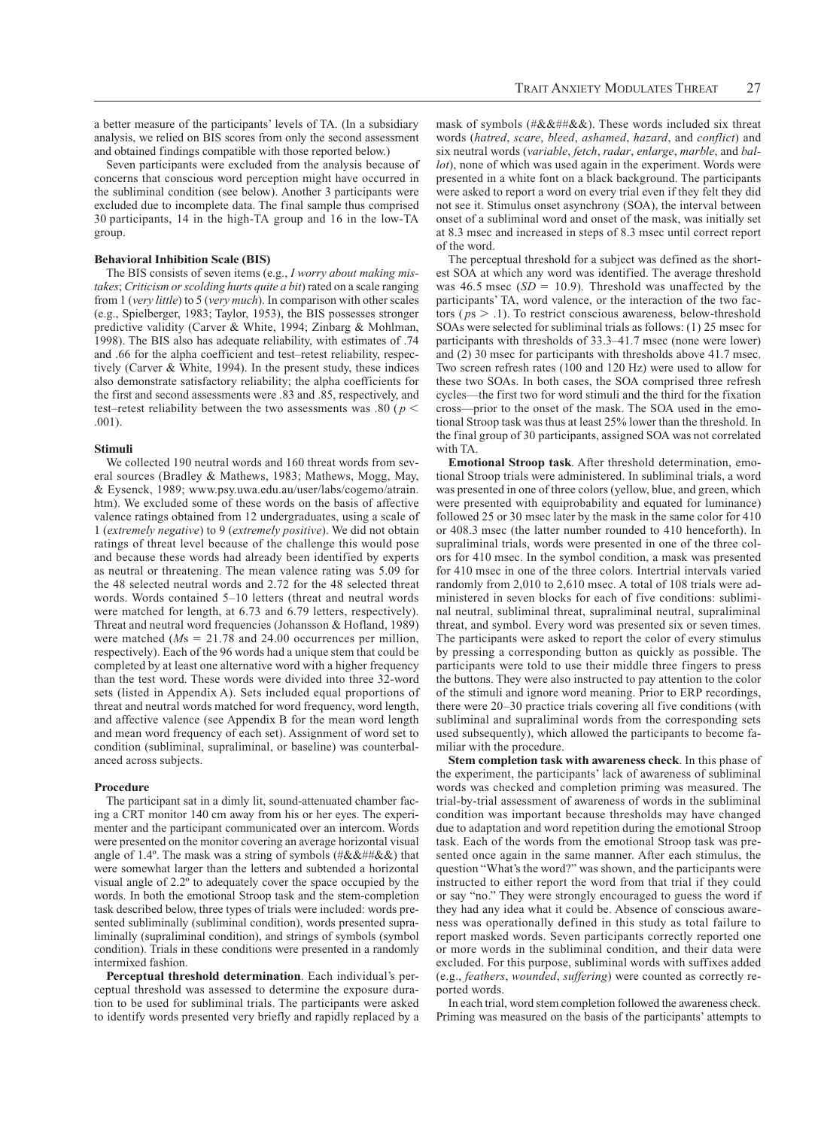a better measure of the participants' levels of TA. (In a subsidiary analysis, we relied on BIS scores from only the second assessment and obtained findings compatible with those reported below.)

Seven participants were excluded from the analysis because of concerns that conscious word perception might have occurred in the subliminal condition (see below). Another 3 participants were excluded due to incomplete data. The final sample thus comprised 30 participants, 14 in the high-TA group and 16 in the low-TA group.

#### **Behavioral Inhibition Scale (BIS)**

The BIS consists of seven items (e.g., I worry about making mistakes; Criticism or scolding hurts quite a bit) rated on a scale ranging from 1 (very little) to 5 (very much). In comparison with other scales (e.g., Spielberger, 1983; Taylor, 1953), the BIS possesses stronger predictive validity (Carver & White, 1994; Zinbarg & Mohlman, 1998). The BIS also has adequate reliability, with estimates of .74 and .66 for the alpha coefficient and test-retest reliability, respectively (Carver & White, 1994). In the present study, these indices also demonstrate satisfactory reliability; the alpha coefficients for the first and second assessments were .83 and .85, respectively, and test–retest reliability between the two assessments was .80 ( $p$  <  $.001$ ).

#### Stimuli

We collected 190 neutral words and 160 threat words from several sources (Bradley & Mathews, 1983; Mathews, Mogg, May, & Eysenck, 1989; www.psy.uwa.edu.au/user/labs/cogemo/atrain. htm). We excluded some of these words on the basis of affective valence ratings obtained from 12 undergraduates, using a scale of 1 (extremely negative) to 9 (extremely positive). We did not obtain ratings of threat level because of the challenge this would pose and because these words had already been identified by experts as neutral or threatening. The mean valence rating was 5.09 for the 48 selected neutral words and 2.72 for the 48 selected threat words. Words contained 5-10 letters (threat and neutral words were matched for length, at 6.73 and 6.79 letters, respectively). Threat and neutral word frequencies (Johansson & Hofland, 1989) were matched  $(Ms = 21.78$  and 24.00 occurrences per million, respectively). Each of the 96 words had a unique stem that could be completed by at least one alternative word with a higher frequency than the test word. These words were divided into three 32-word sets (listed in Appendix A). Sets included equal proportions of threat and neutral words matched for word frequency, word length, and affective valence (see Appendix B for the mean word length and mean word frequency of each set). Assignment of word set to condition (subliminal, supraliminal, or baseline) was counterbalanced across subjects.

#### Procedure

The participant sat in a dimly lit, sound-attenuated chamber facing a CRT monitor 140 cm away from his or her eyes. The experimenter and the participant communicated over an intercom. Words were presented on the monitor covering an average horizontal visual angle of 1.4°. The mask was a string of symbols (#&&##&&) that were somewhat larger than the letters and subtended a horizontal visual angle of 2.2° to adequately cover the space occupied by the words. In both the emotional Stroop task and the stem-completion task described below, three types of trials were included: words presented subliminally (subliminal condition), words presented supraliminally (supraliminal condition), and strings of symbols (symbol condition). Trials in these conditions were presented in a randomly intermixed fashion.

Perceptual threshold determination. Each individual's perceptual threshold was assessed to determine the exposure duration to be used for subliminal trials. The participants were asked to identify words presented very briefly and rapidly replaced by a

mask of symbols (#&&##&&). These words included six threat words (hatred, scare, bleed, ashamed, hazard, and conflict) and six neutral words (variable, fetch, radar, enlarge, marble, and ballot), none of which was used again in the experiment. Words were presented in a white font on a black background. The participants were asked to report a word on every trial even if they felt they did not see it. Stimulus onset asynchrony (SOA), the interval between onset of a subliminal word and onset of the mask, was initially set at 8.3 msec and increased in steps of 8.3 msec until correct report of the word.

The perceptual threshold for a subject was defined as the shortest SOA at which any word was identified. The average threshold was 46.5 msec ( $SD = 10.9$ ). Threshold was unaffected by the participants' TA, word valence, or the interaction of the two factors ( $ps > .1$ ). To restrict conscious awareness, below-threshold SOAs were selected for subliminal trials as follows: (1) 25 msec for participants with thresholds of 33.3–41.7 msec (none were lower) and (2) 30 msec for participants with thresholds above 41.7 msec. Two screen refresh rates (100 and 120 Hz) were used to allow for these two SOAs. In both cases, the SOA comprised three refresh cycles—the first two for word stimuli and the third for the fixation cross—prior to the onset of the mask. The SOA used in the emotional Stroop task was thus at least 25% lower than the threshold. In the final group of 30 participants, assigned SOA was not correlated with TA.

Emotional Stroop task. After threshold determination, emotional Stroop trials were administered. In subliminal trials, a word was presented in one of three colors (yellow, blue, and green, which were presented with equiprobability and equated for luminance) followed 25 or 30 msec later by the mask in the same color for 410 or 408.3 msec (the latter number rounded to 410 henceforth). In supraliminal trials, words were presented in one of the three colors for 410 msec. In the symbol condition, a mask was presented for 410 msec in one of the three colors. Intertrial intervals varied randomly from 2,010 to 2,610 msec. A total of 108 trials were administered in seven blocks for each of five conditions: subliminal neutral, subliminal threat, supraliminal neutral, supraliminal threat, and symbol. Every word was presented six or seven times. The participants were asked to report the color of every stimulus by pressing a corresponding button as quickly as possible. The participants were told to use their middle three fingers to press the buttons. They were also instructed to pay attention to the color of the stimuli and ignore word meaning. Prior to ERP recordings, there were 20–30 practice trials covering all five conditions (with subliminal and supraliminal words from the corresponding sets used subsequently), which allowed the participants to become familiar with the procedure.

Stem completion task with awareness check. In this phase of the experiment, the participants' lack of awareness of subliminal words was checked and completion priming was measured. The trial-by-trial assessment of awareness of words in the subliminal condition was important because thresholds may have changed due to adaptation and word repetition during the emotional Stroop task. Each of the words from the emotional Stroop task was presented once again in the same manner. After each stimulus, the question "What's the word?" was shown, and the participants were instructed to either report the word from that trial if they could or say "no." They were strongly encouraged to guess the word if they had any idea what it could be. Absence of conscious awareness was operationally defined in this study as total failure to report masked words. Seven participants correctly reported one or more words in the subliminal condition, and their data were excluded. For this purpose, subliminal words with suffixes added (e.g., feathers, wounded, suffering) were counted as correctly reported words.

In each trial, word stem completion followed the awareness check. Priming was measured on the basis of the participants' attempts to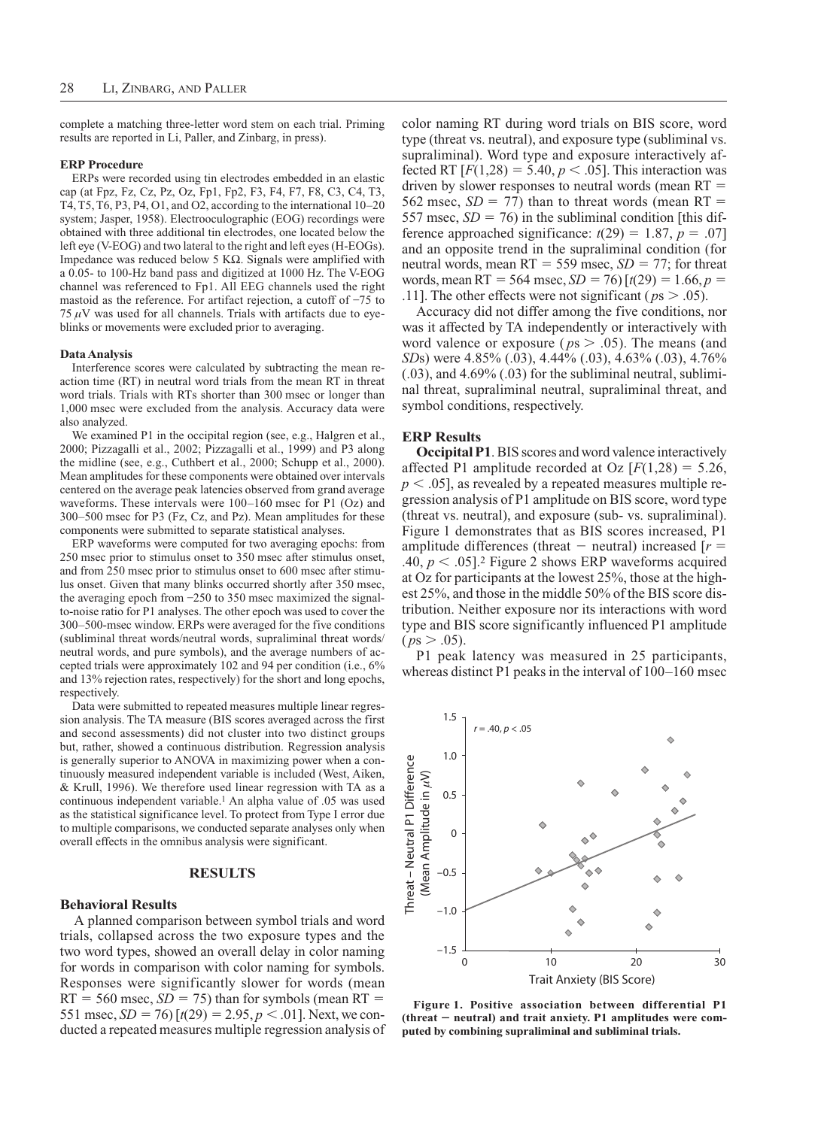complete a matching three-letter word stem on each trial. Priming results are reported in Li, Paller, and Zinbarg, in press).

#### **ERP** Procedure

ERPs were recorded using tin electrodes embedded in an elastic cap (at Fpz, Fz, Cz, Pz, Oz, Fp1, Fp2, F3, F4, F7, F8, C3, C4, T3, T4, T5, T6, P3, P4, O1, and O2, according to the international 10–20 system; Jasper, 1958). Electrooculographic (EOG) recordings were obtained with three additional tin electrodes, one located below the left eye (V-EOG) and two lateral to the right and left eyes (H-EOGs). Impedance was reduced below 5  $K\Omega$ . Signals were amplified with a 0.05- to 100-Hz band pass and digitized at 1000 Hz. The V-EOG channel was referenced to Fp1. All EEG channels used the right mastoid as the reference. For artifact rejection, a cutoff of  $-75$  to 75  $\mu$ V was used for all channels. Trials with artifacts due to eyeblinks or movements were excluded prior to averaging.

#### Data Analysis

Interference scores were calculated by subtracting the mean reaction time (RT) in neutral word trials from the mean RT in threat word trials. Trials with RTs shorter than 300 msec or longer than 1,000 msec were excluded from the analysis. Accuracy data were also analyzed.

We examined P1 in the occipital region (see, e.g., Halgren et al., 2000; Pizzagalli et al., 2002; Pizzagalli et al., 1999) and P3 along the midline (see, e.g., Cuthbert et al., 2000; Schupp et al., 2000). Mean amplitudes for these components were obtained over intervals centered on the average peak latencies observed from grand average waveforms. These intervals were  $100-160$  msec for P1 (Oz) and 300–500 msec for P3 (Fz, Cz, and Pz). Mean amplitudes for these components were submitted to separate statistical analyses.

ERP waveforms were computed for two averaging epochs: from 250 msec prior to stimulus onset to 350 msec after stimulus onset, and from 250 msec prior to stimulus onset to 600 msec after stimulus onset. Given that many blinks occurred shortly after 350 msec, the averaging epoch from  $-250$  to 350 msec maximized the signalto-noise ratio for P1 analyses. The other epoch was used to cover the 300-500-msec window. ERPs were averaged for the five conditions (subliminal threat words/neutral words, supraliminal threat words/ neutral words, and pure symbols), and the average numbers of accepted trials were approximately 102 and 94 per condition (i.e., 6% and 13% rejection rates, respectively) for the short and long epochs, respectively.

Data were submitted to repeated measures multiple linear regression analysis. The TA measure (BIS scores averaged across the first and second assessments) did not cluster into two distinct groups but, rather, showed a continuous distribution. Regression analysis is generally superior to ANOVA in maximizing power when a continuously measured independent variable is included (West, Aiken, & Krull, 1996). We therefore used linear regression with TA as a continuous independent variable.<sup>1</sup> An alpha value of .05 was used as the statistical significance level. To protect from Type I error due to multiple comparisons, we conducted separate analyses only when overall effects in the omnibus analysis were significant.

# **RESULTS**

## **Behavioral Results**

A planned comparison between symbol trials and word trials, collapsed across the two exposure types and the two word types, showed an overall delay in color naming for words in comparison with color naming for symbols. Responses were significantly slower for words (mean  $RT = 560$  msec,  $SD = 75$ ) than for symbols (mean RT = 551 msec,  $SD = 76$  [ $t(29) = 2.95, p < .01$ ]. Next, we conducted a repeated measures multiple regression analysis of color naming RT during word trials on BIS score, word type (threat vs. neutral), and exposure type (subliminal vs. supraliminal). Word type and exposure interactively affected RT  $[F(1,28) = 5.40, p < .05]$ . This interaction was driven by slower responses to neutral words (mean  $RT =$ 562 msec,  $SD = 77$ ) than to threat words (mean RT = 557 msec,  $SD = 76$  in the subliminal condition [this difference approached significance:  $t(29) = 1.87$ ,  $p = .07$ ] and an opposite trend in the supraliminal condition (for neutral words, mean  $RT = 559$  msec,  $SD = 77$ ; for threat words, mean RT = 564 msec,  $SD = 76$  [ $t(29) = 1.66$ ,  $p =$ .11]. The other effects were not significant ( $p_s > .05$ ).

Accuracy did not differ among the five conditions, nor was it affected by TA independently or interactively with word valence or exposure ( $ps > .05$ ). The means (and SDs) were  $4.85\%$  (.03),  $4.44\%$  (.03),  $4.63\%$  (.03),  $4.76\%$  $(0.03)$ , and 4.69%  $(0.03)$  for the subliminal neutral, subliminal threat, supraliminal neutral, supraliminal threat, and symbol conditions, respectively.

#### **ERP Results**

**Occipital P1.** BIS scores and word valence interactively affected P1 amplitude recorded at Oz  $[F(1,28) = 5.26]$ ,  $p < .05$ , as revealed by a repeated measures multiple regression analysis of P1 amplitude on BIS score, word type (threat vs. neutral), and exposure (sub- vs. supraliminal). Figure 1 demonstrates that as BIS scores increased, P1 amplitude differences (threat - neutral) increased  $[r =$ .40,  $p < .05$ ].<sup>2</sup> Figure 2 shows ERP waveforms acquired at Oz for participants at the lowest 25%, those at the highest 25%, and those in the middle 50% of the BIS score distribution. Neither exposure nor its interactions with word type and BIS score significantly influenced P1 amplitude  $(ps > .05)$ .

P1 peak latency was measured in 25 participants, whereas distinct P1 peaks in the interval of  $100-160$  msec



Figure 1. Positive association between differential P1 (threat – neutral) and trait anxiety. P1 amplitudes were computed by combining supraliminal and subliminal trials.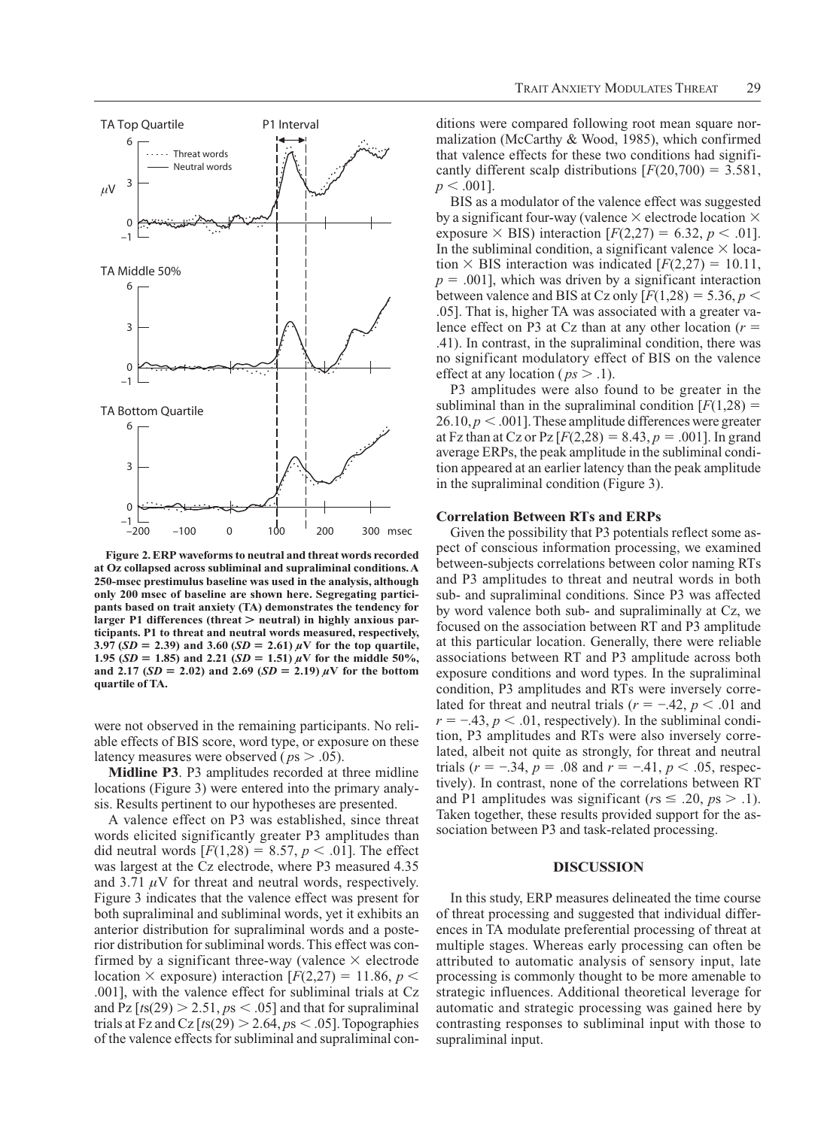

Figure 2. ERP waveforms to neutral and threat words recorded at Oz collapsed across subliminal and supraliminal conditions. A 250-msec prestimulus baseline was used in the analysis, although only 200 msec of baseline are shown here. Segregating participants based on trait anxiety (TA) demonstrates the tendency for larger P1 differences (threat > neutral) in highly anxious participants. P1 to threat and neutral words measured, respectively, 3.97 (SD = 2.39) and 3.60 (SD = 2.61)  $\mu$ V for the top quartile, 1.95 (SD = 1.85) and 2.21 (SD = 1.51)  $\mu$ V for the middle 50%, and 2.17 ( $SD = 2.02$ ) and 2.69 ( $SD = 2.19$ )  $\mu$ V for the bottom quartile of TA.

were not observed in the remaining participants. No reliable effects of BIS score, word type, or exposure on these latency measures were observed ( $ps > .05$ ).

Midline P3. P3 amplitudes recorded at three midline locations (Figure 3) were entered into the primary analysis. Results pertinent to our hypotheses are presented.

A valence effect on P3 was established, since threat words elicited significantly greater P3 amplitudes than did neutral words  $[F(1,28) = 8.57, p < .01]$ . The effect was largest at the Cz electrode, where P3 measured 4.35 and 3.71  $\mu$ V for threat and neutral words, respectively. Figure 3 indicates that the valence effect was present for both supraliminal and subliminal words, yet it exhibits an anterior distribution for supraliminal words and a posterior distribution for subliminal words. This effect was confirmed by a significant three-way (valence  $\times$  electrode location  $\times$  exposure) interaction  $[F(2,27) = 11.86, p <$ .001], with the valence effect for subliminal trials at Cz and Pz  $[ts(29) > 2.51, ps < .05]$  and that for supraliminal trials at Fz and Cz [ts(29)  $>$  2.64, ps  $<$  0.5]. Topographies of the valence effects for subliminal and supraliminal con-

ditions were compared following root mean square normalization (McCarthy & Wood, 1985), which confirmed that valence effects for these two conditions had significantly different scalp distributions  $[F(20,700) = 3.581]$ ,  $p < .001$ .

BIS as a modulator of the valence effect was suggested by a significant four-way (valence  $\times$  electrode location  $\times$ exposure  $\times$  BIS) interaction [ $F(2,27) = 6.32$ ,  $p < .01$ ]. In the subliminal condition, a significant valence  $\times$  location × BIS interaction was indicated  $[F(2,27) = 10.11]$ ,  $p = .001$ , which was driven by a significant interaction between valence and BIS at Cz only  $[F(1,28) = 5.36, p <$ .05]. That is, higher TA was associated with a greater valence effect on P3 at Cz than at any other location  $(r =$ .41). In contrast, in the supraliminal condition, there was no significant modulatory effect of BIS on the valence effect at any location ( $ps > .1$ ).

P3 amplitudes were also found to be greater in the subliminal than in the supraliminal condition  $F(1,28) =$  $26.10, p \leq .001$ . These amplitude differences were greater at Fz than at Cz or Pz  $[F(2,28) = 8.43, p = .001]$ . In grand average ERPs, the peak amplitude in the subliminal condition appeared at an earlier latency than the peak amplitude in the supraliminal condition (Figure 3).

#### **Correlation Between RTs and ERPs**

Given the possibility that P3 potentials reflect some aspect of conscious information processing, we examined between-subjects correlations between color naming RTs and P3 amplitudes to threat and neutral words in both sub- and supraliminal conditions. Since P3 was affected by word valence both sub- and supraliminally at Cz, we focused on the association between RT and P3 amplitude at this particular location. Generally, there were reliable associations between RT and P3 amplitude across both exposure conditions and word types. In the supraliminal condition, P3 amplitudes and RTs were inversely correlated for threat and neutral trials ( $r = -.42$ ,  $p < .01$  and  $r = -.43, p < .01$ , respectively). In the subliminal condition, P3 amplitudes and RTs were also inversely correlated, albeit not quite as strongly, for threat and neutral trials ( $r = -.34$ ,  $p = .08$  and  $r = -.41$ ,  $p < .05$ , respectively). In contrast, none of the correlations between RT and P1 amplitudes was significant ( $rs \leq .20$ ,  $ps > .1$ ). Taken together, these results provided support for the association between P3 and task-related processing.

#### **DISCUSSION**

In this study, ERP measures delineated the time course of threat processing and suggested that individual differences in TA modulate preferential processing of threat at multiple stages. Whereas early processing can often be attributed to automatic analysis of sensory input, late processing is commonly thought to be more amenable to strategic influences. Additional theoretical leverage for automatic and strategic processing was gained here by contrasting responses to subliminal input with those to supraliminal input.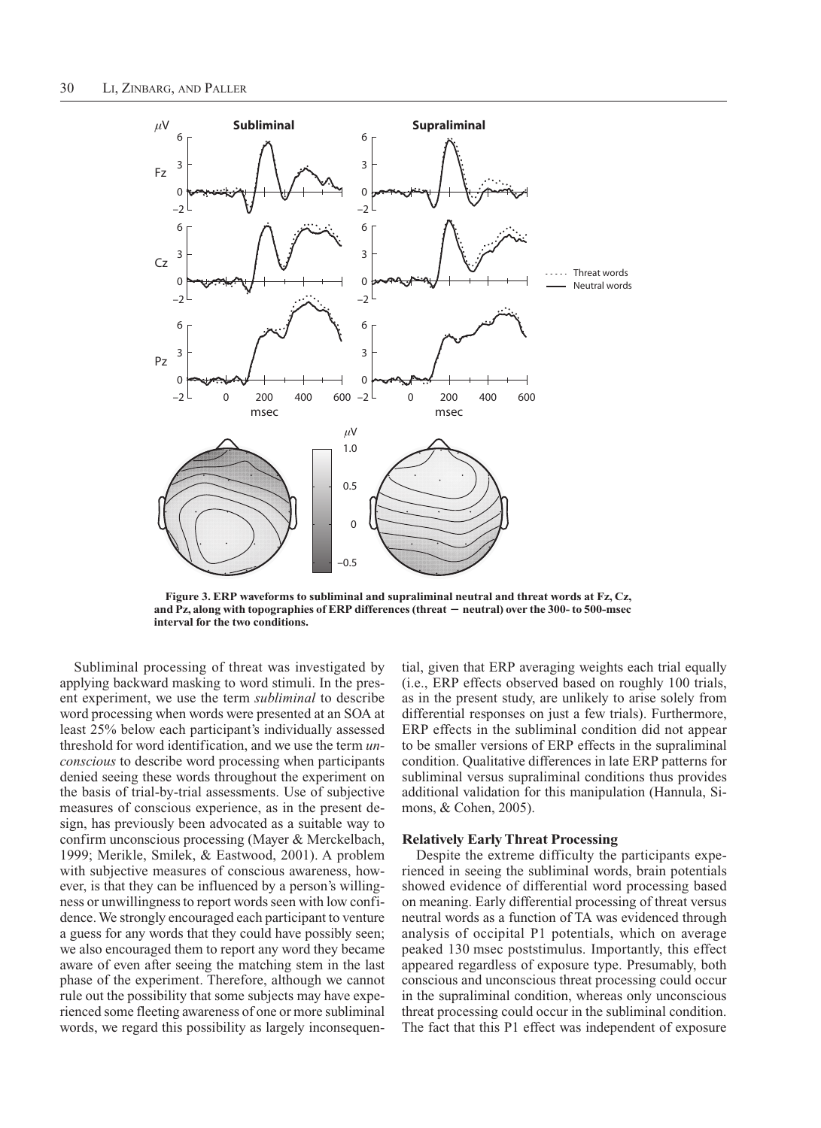

Figure 3. ERP waveforms to subliminal and supraliminal neutral and threat words at Fz, Cz, and Pz, along with topographies of ERP differences (threat - neutral) over the 300-to 500-msec interval for the two conditions.

Subliminal processing of threat was investigated by applying backward masking to word stimuli. In the present experiment, we use the term *subliminal* to describe word processing when words were presented at an SOA at least 25% below each participant's individually assessed threshold for word identification, and we use the term unconscious to describe word processing when participants denied seeing these words throughout the experiment on the basis of trial-by-trial assessments. Use of subjective measures of conscious experience, as in the present design, has previously been advocated as a suitable way to confirm unconscious processing (Mayer & Merckelbach, 1999; Merikle, Smilek, & Eastwood, 2001). A problem with subjective measures of conscious awareness, however, is that they can be influenced by a person's willingness or unwillingness to report words seen with low confidence. We strongly encouraged each participant to venture a guess for any words that they could have possibly seen; we also encouraged them to report any word they became aware of even after seeing the matching stem in the last phase of the experiment. Therefore, although we cannot rule out the possibility that some subjects may have experienced some fleeting awareness of one or more subliminal words, we regard this possibility as largely inconsequen-

tial, given that ERP averaging weights each trial equally (i.e., ERP effects observed based on roughly 100 trials, as in the present study, are unlikely to arise solely from differential responses on just a few trials). Furthermore, ERP effects in the subliminal condition did not appear to be smaller versions of ERP effects in the supraliminal condition. Qualitative differences in late ERP patterns for subliminal versus supraliminal conditions thus provides additional validation for this manipulation (Hannula, Simons, & Cohen, 2005).

# **Relatively Early Threat Processing**

Despite the extreme difficulty the participants experienced in seeing the subliminal words, brain potentials showed evidence of differential word processing based on meaning. Early differential processing of threat versus neutral words as a function of TA was evidenced through analysis of occipital P1 potentials, which on average peaked 130 msec poststimulus. Importantly, this effect appeared regardless of exposure type. Presumably, both conscious and unconscious threat processing could occur in the supraliminal condition, whereas only unconscious threat processing could occur in the subliminal condition. The fact that this P1 effect was independent of exposure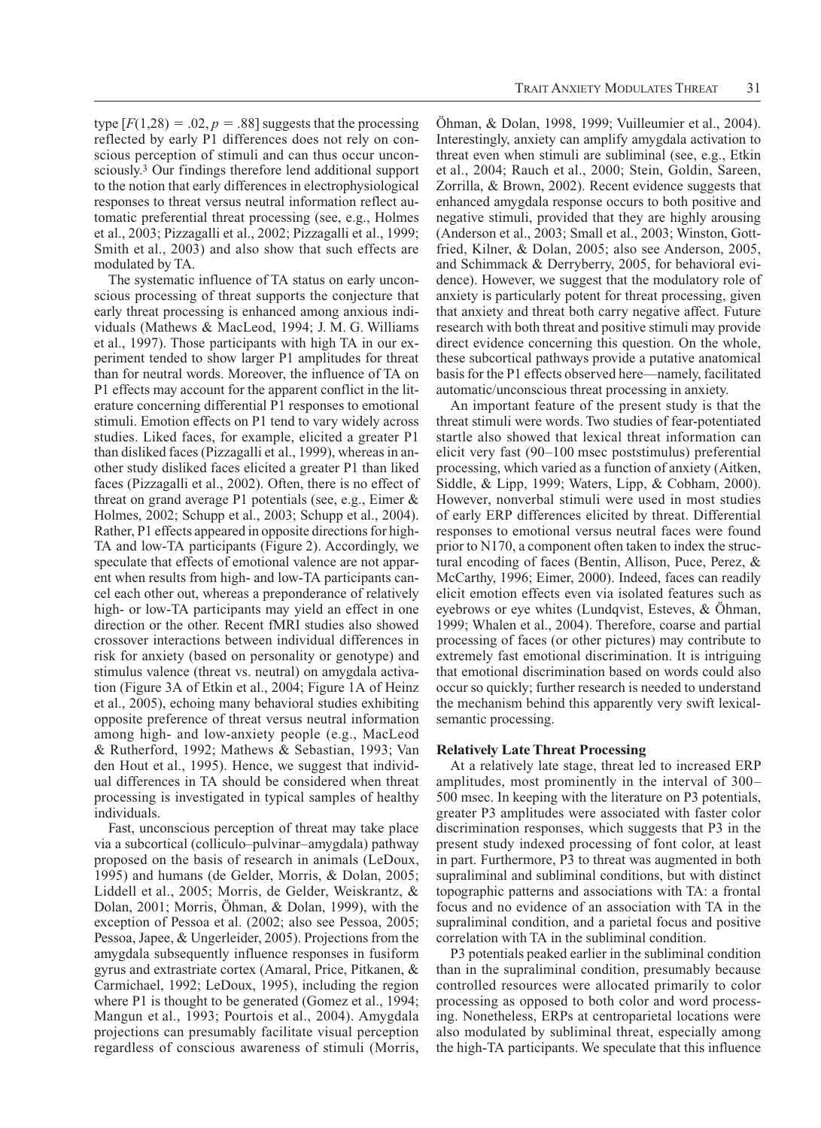type  $[F(1,28) = .02, p = .88]$  suggests that the processing reflected by early P1 differences does not rely on conscious perception of stimuli and can thus occur unconsciously.<sup>3</sup> Our findings therefore lend additional support to the notion that early differences in electrophysiological responses to threat versus neutral information reflect automatic preferential threat processing (see, e.g., Holmes et al., 2003; Pizzagalli et al., 2002; Pizzagalli et al., 1999; Smith et al., 2003) and also show that such effects are modulated by TA.

The systematic influence of TA status on early unconscious processing of threat supports the conjecture that early threat processing is enhanced among anxious individuals (Mathews & MacLeod, 1994; J. M. G. Williams et al., 1997). Those participants with high TA in our experiment tended to show larger P1 amplitudes for threat than for neutral words. Moreover, the influence of TA on P1 effects may account for the apparent conflict in the literature concerning differential P1 responses to emotional stimuli. Emotion effects on P1 tend to vary widely across studies. Liked faces, for example, elicited a greater P1 than disliked faces (Pizzagalli et al., 1999), whereas in another study disliked faces elicited a greater P1 than liked faces (Pizzagalli et al., 2002). Often, there is no effect of threat on grand average P1 potentials (see, e.g., Eimer & Holmes, 2002; Schupp et al., 2003; Schupp et al., 2004). Rather, P1 effects appeared in opposite directions for high-TA and low-TA participants (Figure 2). Accordingly, we speculate that effects of emotional valence are not apparent when results from high- and low-TA participants cancel each other out, whereas a preponderance of relatively high- or low-TA participants may yield an effect in one direction or the other. Recent fMRI studies also showed crossover interactions between individual differences in risk for anxiety (based on personality or genotype) and stimulus valence (threat vs. neutral) on amygdala activation (Figure 3A of Etkin et al., 2004; Figure 1A of Heinz et al., 2005), echoing many behavioral studies exhibiting opposite preference of threat versus neutral information among high- and low-anxiety people (e.g., MacLeod & Rutherford, 1992; Mathews & Sebastian, 1993; Van den Hout et al., 1995). Hence, we suggest that individual differences in TA should be considered when threat processing is investigated in typical samples of healthy individuals.

Fast, unconscious perception of threat may take place via a subcortical (colliculo-pulvinar-amygdala) pathway proposed on the basis of research in animals (LeDoux, 1995) and humans (de Gelder, Morris, & Dolan, 2005; Liddell et al., 2005; Morris, de Gelder, Weiskrantz, & Dolan, 2001; Morris, Öhman, & Dolan, 1999), with the exception of Pessoa et al. (2002; also see Pessoa, 2005; Pessoa, Japee, & Ungerleider, 2005). Projections from the amygdala subsequently influence responses in fusiform gyrus and extrastriate cortex (Amaral, Price, Pitkanen, & Carmichael, 1992; LeDoux, 1995), including the region where P1 is thought to be generated (Gomez et al., 1994; Mangun et al., 1993; Pourtois et al., 2004). Amygdala projections can presumably facilitate visual perception regardless of conscious awareness of stimuli (Morris, Ohman, & Dolan, 1998, 1999; Vuilleumier et al., 2004). Interestingly, anxiety can amplify amygdala activation to threat even when stimuli are subliminal (see, e.g., Etkin et al., 2004; Rauch et al., 2000; Stein, Goldin, Sareen, Zorrilla, & Brown, 2002). Recent evidence suggests that enhanced amygdala response occurs to both positive and negative stimuli, provided that they are highly arousing (Anderson et al., 2003; Small et al., 2003; Winston, Gottfried, Kilner, & Dolan, 2005; also see Anderson, 2005, and Schimmack & Derryberry, 2005, for behavioral evidence). However, we suggest that the modulatory role of anxiety is particularly potent for threat processing, given that anxiety and threat both carry negative affect. Future research with both threat and positive stimuli may provide direct evidence concerning this question. On the whole, these subcortical pathways provide a putative anatomical basis for the P1 effects observed here—namely, facilitated automatic/unconscious threat processing in anxiety.

An important feature of the present study is that the threat stimuli were words. Two studies of fear-potentiated startle also showed that lexical threat information can elicit very fast (90–100 msec poststimulus) preferential processing, which varied as a function of anxiety (Aitken, Siddle, & Lipp, 1999; Waters, Lipp, & Cobham, 2000). However, nonverbal stimuli were used in most studies of early ERP differences elicited by threat. Differential responses to emotional versus neutral faces were found prior to N170, a component often taken to index the structural encoding of faces (Bentin, Allison, Puce, Perez, & McCarthy, 1996; Eimer, 2000). Indeed, faces can readily elicit emotion effects even via isolated features such as eyebrows or eye whites (Lundqvist, Esteves, & Öhman, 1999; Whalen et al., 2004). Therefore, coarse and partial processing of faces (or other pictures) may contribute to extremely fast emotional discrimination. It is intriguing that emotional discrimination based on words could also occur so quickly; further research is needed to understand the mechanism behind this apparently very swift lexicalsemantic processing.

#### **Relatively Late Threat Processing**

At a relatively late stage, threat led to increased ERP amplitudes, most prominently in the interval of 300– 500 msec. In keeping with the literature on P3 potentials, greater P3 amplitudes were associated with faster color discrimination responses, which suggests that P3 in the present study indexed processing of font color, at least in part. Furthermore, P3 to threat was augmented in both supraliminal and subliminal conditions, but with distinct topographic patterns and associations with TA: a frontal focus and no evidence of an association with TA in the supraliminal condition, and a parietal focus and positive correlation with TA in the subliminal condition.

P3 potentials peaked earlier in the subliminal condition than in the supraliminal condition, presumably because controlled resources were allocated primarily to color processing as opposed to both color and word processing. Nonetheless, ERPs at centroparietal locations were also modulated by subliminal threat, especially among the high-TA participants. We speculate that this influence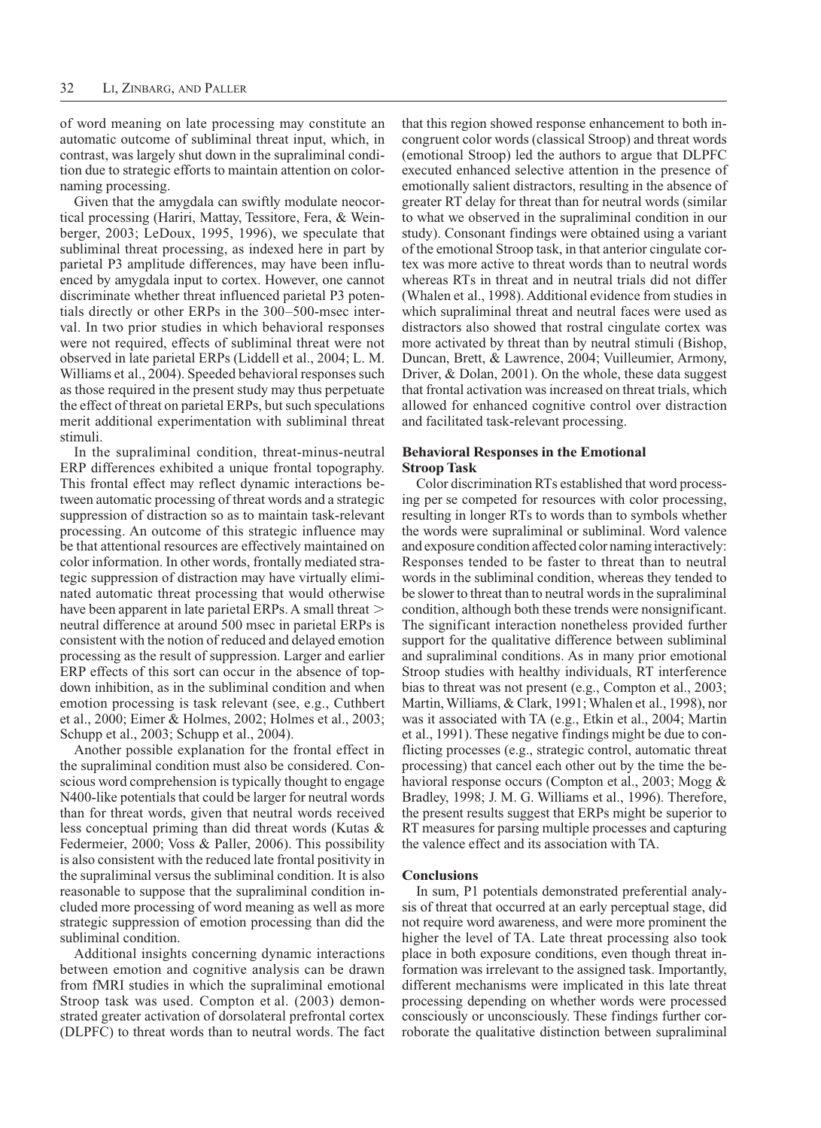of word meaning on late processing may constitute an automatic outcome of subliminal threat input, which, in contrast, was largely shut down in the supraliminal condition due to strategic efforts to maintain attention on colornaming processing.

Given that the amygdala can swiftly modulate neocortical processing (Hariri, Mattay, Tessitore, Fera, & Weinberger, 2003; LeDoux, 1995, 1996), we speculate that subliminal threat processing, as indexed here in part by parietal P3 amplitude differences, may have been influenced by amygdala input to cortex. However, one cannot discriminate whether threat influenced parietal P3 potentials directly or other ERPs in the 300–500-msec interval. In two prior studies in which behavioral responses were not required, effects of subliminal threat were not observed in late parietal ERPs (Liddell et al., 2004; L. M. Williams et al., 2004). Speeded behavioral responses such as those required in the present study may thus perpetuate the effect of threat on parietal ERPs, but such speculations merit additional experimentation with subliminal threat stimuli.

In the supraliminal condition, threat-minus-neutral ERP differences exhibited a unique frontal topography. This frontal effect may reflect dynamic interactions between automatic processing of threat words and a strategic suppression of distraction so as to maintain task-relevant processing. An outcome of this strategic influence may be that attentional resources are effectively maintained on color information. In other words, frontally mediated strategic suppression of distraction may have virtually eliminated automatic threat processing that would otherwise have been apparent in late parietal ERPs. A small threat > neutral difference at around 500 msec in parietal ERPs is consistent with the notion of reduced and delayed emotion processing as the result of suppression. Larger and earlier ERP effects of this sort can occur in the absence of topdown inhibition, as in the subliminal condition and when emotion processing is task relevant (see, e.g., Cuthbert et al., 2000; Eimer & Holmes, 2002; Holmes et al., 2003; Schupp et al., 2003; Schupp et al., 2004).

Another possible explanation for the frontal effect in the supraliminal condition must also be considered. Conscious word comprehension is typically thought to engage N400-like potentials that could be larger for neutral words than for threat words, given that neutral words received less conceptual priming than did threat words (Kutas & Federmeier, 2000; Voss & Paller, 2006). This possibility is also consistent with the reduced late frontal positivity in the supraliminal versus the subliminal condition. It is also reasonable to suppose that the supraliminal condition included more processing of word meaning as well as more strategic suppression of emotion processing than did the subliminal condition.

Additional insights concerning dynamic interactions between emotion and cognitive analysis can be drawn from fMRI studies in which the supraliminal emotional Stroop task was used. Compton et al. (2003) demonstrated greater activation of dorsolateral prefrontal cortex (DLPFC) to threat words than to neutral words. The fact that this region showed response enhancement to both incongruent color words (classical Stroop) and threat words (emotional Stroop) led the authors to argue that DLPFC executed enhanced selective attention in the presence of emotionally salient distractors, resulting in the absence of greater RT delay for threat than for neutral words (similar to what we observed in the supraliminal condition in our study). Consonant findings were obtained using a variant of the emotional Stroop task, in that anterior cingulate cortex was more active to threat words than to neutral words whereas RTs in threat and in neutral trials did not differ (Whalen et al., 1998). Additional evidence from studies in which supraliminal threat and neutral faces were used as distractors also showed that rostral cingulate cortex was more activated by threat than by neutral stimuli (Bishop, Duncan, Brett, & Lawrence, 2004; Vuilleumier, Armony, Driver, & Dolan, 2001). On the whole, these data suggest that frontal activation was increased on threat trials, which allowed for enhanced cognitive control over distraction and facilitated task-relevant processing.

# **Behavioral Responses in the Emotional Stroop Task**

Color discrimination RTs established that word processing per se competed for resources with color processing, resulting in longer RTs to words than to symbols whether the words were supraliminal or subliminal. Word valence and exposure condition affected color naming interactively: Responses tended to be faster to threat than to neutral words in the subliminal condition, whereas they tended to be slower to threat than to neutral words in the supraliminal condition, although both these trends were nonsignificant. The significant interaction nonetheless provided further support for the qualitative difference between subliminal and supraliminal conditions. As in many prior emotional Stroop studies with healthy individuals, RT interference bias to threat was not present (e.g., Compton et al., 2003; Martin, Williams, & Clark, 1991; Whalen et al., 1998), nor was it associated with TA (e.g., Etkin et al., 2004; Martin et al., 1991). These negative findings might be due to conflicting processes (e.g., strategic control, automatic threat processing) that cancel each other out by the time the behavioral response occurs (Compton et al., 2003; Mogg & Bradley, 1998; J. M. G. Williams et al., 1996). Therefore, the present results suggest that ERPs might be superior to RT measures for parsing multiple processes and capturing the valence effect and its association with TA.

#### **Conclusions**

In sum, P1 potentials demonstrated preferential analysis of threat that occurred at an early perceptual stage, did not require word awareness, and were more prominent the higher the level of TA. Late threat processing also took place in both exposure conditions, even though threat information was irrelevant to the assigned task. Importantly, different mechanisms were implicated in this late threat processing depending on whether words were processed consciously or unconsciously. These findings further corroborate the qualitative distinction between supraliminal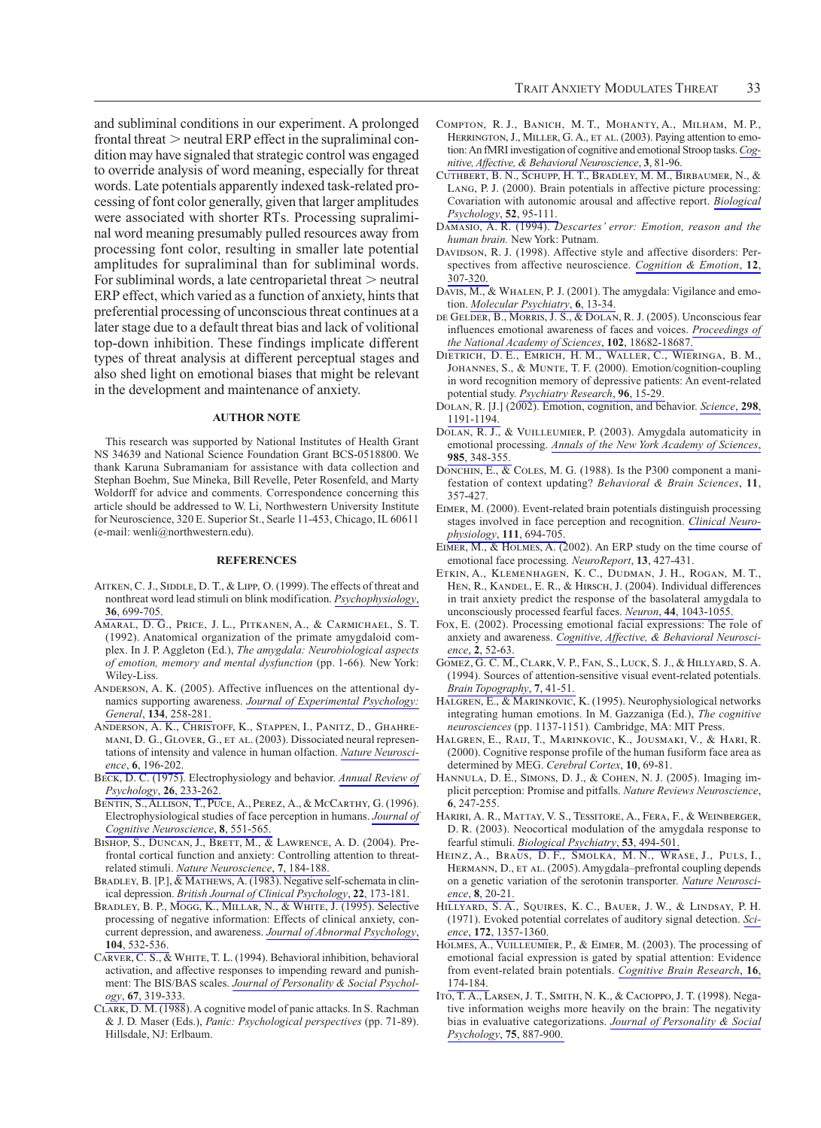and subliminal conditions in our experiment. A prolonged frontal threat > neutral ERP effect in the supraliminal condition may have signaled that strategic control was engaged to override analysis of word meaning, especially for threat words. Late potentials apparently indexed task-related processing of font color generally, given that larger amplitudes were associated with shorter RTs. Processing supraliminal word meaning presumably pulled resources away from processing font color, resulting in smaller late potential amplitudes for supraliminal than for subliminal words. For subliminal words, a late centroparietal threat  $>$  neutral ERP effect, which varied as a function of anxiety, hints that preferential processing of unconscious threat continues at a later stage due to a default threat bias and lack of volitional top-down inhibition. These findings implicate different types of threat analysis at different perceptual stages and also shed light on emotional biases that might be relevant in the development and maintenance of anxiety.

#### **AUTHOR NOTE**

This research was supported by National Institutes of Health Grant NS 34639 and National Science Foundation Grant BCS-0518800. We thank Karuna Subramaniam for assistance with data collection and Stephan Boehm, Sue Mineka, Bill Revelle, Peter Rosenfeld, and Marty Woldorff for advice and comments. Correspondence concerning this article should be addressed to W. Li, Northwestern University Institute for Neuroscience, 320 E. Superior St., Searle 11-453, Chicago, IL 60611 (e-mail: wenli@northwestern.edu).

#### **REFERENCES**

- AITKEN, C. J., SIDDLE, D. T., & LIPP, O. (1999). The effects of threat and nonthreat word lead stimuli on blink modification. Psychophysiology, 36, 699-705.
- AMARAL, D. G., PRICE, J. L., PITKANEN, A., & CARMICHAEL, S. T. (1992). Anatomical organization of the primate amygdaloid complex. In J. P. Aggleton (Ed.), The amygdala: Neurobiological aspects of emotion, memory and mental dysfunction (pp. 1-66). New York: Wiley-Liss.
- ANDERSON, A. K. (2005). Affective influences on the attentional dynamics supporting awareness. Journal of Experimental Psychology: General, 134, 258-281.
- ANDERSON, A. K., CHRISTOFF, K., STAPPEN, I., PANITZ, D., GHAHRE-MANI, D. G., GLOVER, G., ET AL. (2003). Dissociated neural representations of intensity and valence in human olfaction. Nature Neuroscience, 6, 196-202.
- BECK, D. C. (1975). Electrophysiology and behavior. Annual Review of Psychology, 26, 233-262.
- BENTIN, S., ALLISON, T., PUCE, A., PEREZ, A., & MCCARTHY, G. (1996). Electrophysiological studies of face perception in humans. Journal of Cognitive Neuroscience, 8, 551-565
- BISHOP, S., DUNCAN, J., BRETT, M., & LAWRENCE, A. D. (2004). Prefrontal cortical function and anxiety: Controlling attention to threatrelated stimuli. Nature Neuroscience, 7, 184-188.
- BRADLEY, B. [P.], & MATHEWS, A. (1983). Negative self-schemata in clinical depression. British Journal of Clinical Psychology, 22, 173-181.
- BRADLEY, B. P., MOGG, K., MILLAR, N., & WHITE, J. (1995). Selective processing of negative information: Effects of clinical anxiety, concurrent depression, and awareness. Journal of Abnormal Psychology, 104, 532-536.
- CARVER, C. S., & WHITE, T. L. (1994). Behavioral inhibition, behavioral activation, and affective responses to impending reward and punishment: The BIS/BAS scales. Journal of Personality & Social Psychology, 67, 319-333.
- CLARK, D. M. (1988). A cognitive model of panic attacks. In S. Rachman & J. D. Maser (Eds.), Panic: Psychological perspectives (pp. 71-89). Hillsdale, NJ: Erlbaum.
- COMPTON, R. J., BANICH, M. T., MOHANTY, A., MILHAM, M. P., HERRINGTON, J., MILLER, G. A., ET AL. (2003). Paying attention to emotion: An fMRI investigation of cognitive and emotional Stroop tasks. Cognitive, Affective, & Behavioral Neuroscience, 3, 81-96.
- CUTHBERT, B. N., SCHUPP, H. T., BRADLEY, M. M., BIRBAUMER, N., & LANG, P. J. (2000). Brain potentials in affective picture processing: Covariation with autonomic arousal and affective report. Biological Psychology, 52, 95-111.
- DAMASIO, A. R. (1994). Descartes' error: Emotion, reason and the human brain. New York: Putnam.
- DAVIDSON, R. J. (1998). Affective style and affective disorders: Perspectives from affective neuroscience. Cognition & Emotion, 12, 307-320.
- DAVIS, M., & WHALEN, P. J. (2001). The amygdala: Vigilance and emotion. Molecular Psychiatry, 6, 13-34.
- DE GELDER, B., MORRIS, J. S., & DOLAN, R. J. (2005). Unconscious fear influences emotional awareness of faces and voices. Proceedings of the National Academy of Sciences, 102, 18682-18687.
- DIETRICH, D. E., EMRICH, H. M., WALLER, C., WIERINGA, B. M., JOHANNES, S., & MUNTE, T. F. (2000). Emotion/cognition-coupling in word recognition memory of depressive patients: An event-related potential study. Psychiatry Research, 96, 15-29.
- DOLAN, R. [J.] (2002). Emotion, cognition, and behavior. Science, 298, 1191-1194.
- DOLAN, R. J., & VUILLEUMIER, P. (2003). Amygdala automaticity in emotional processing. Annals of the New York Academy of Sciences, 985, 348-355.
- DONCHIN, E., & COLES, M. G. (1988). Is the P300 component a manifestation of context updating? Behavioral & Brain Sciences, 11, 357-427.
- EIMER, M. (2000). Event-related brain potentials distinguish processing stages involved in face perception and recognition. Clinical Neurophysiology, 111, 694-705.
- EIMER, M., & HOLMES, A. (2002). An ERP study on the time course of emotional face processing. NeuroReport, 13, 427-431.
- ETKIN, A., KLEMENHAGEN, K. C., DUDMAN, J. H., ROGAN, M. T., HEN, R., KANDEL, E. R., & HIRSCH, J. (2004). Individual differences in trait anxiety predict the response of the basolateral amygdala to unconsciously processed fearful faces. Neuron, 44, 1043-1055.
- Fox, E. (2002). Processing emotional facial expressions: The role of anxiety and awareness. Cognitive, Affective, & Behavioral Neuroscience, 2, 52-63.
- GOMEZ, G. C. M., CLARK, V. P., FAN, S., LUCK, S. J., & HILLYARD, S. A. (1994). Sources of attention-sensitive visual event-related potentials. Brain Topography, 7, 41-51.
- HALGREN, E., & MARINKOVIC, K. (1995). Neurophysiological networks integrating human emotions. In M. Gazzaniga (Ed.), The cognitive neurosciences (pp. 1137-1151). Cambridge, MA: MIT Press.
- HALGREN, E., RAIJ, T., MARINKOVIC, K., JOUSMAKI, V., & HARI, R. (2000). Cognitive response profile of the human fusiform face area as determined by MEG. Cerebral Cortex, 10, 69-81.
- HANNULA, D. E., SIMONS, D. J., & COHEN, N. J. (2005). Imaging implicit perception: Promise and pitfalls. Nature Reviews Neuroscience,  $6, 247 - 255.$
- HARIRI, A. R., MATTAY, V. S., TESSITORE, A., FERA, F., & WEINBERGER, D. R. (2003). Neocortical modulation of the amygdala response to fearful stimuli. Biological Psychiatry, 53, 494-501.
- HEINZ, A., BRAUS, D. F., SMOLKA, M. N., WRASE, J., PULS, I., HERMANN, D., ET AL. (2005). Amygdala-prefrontal coupling depends on a genetic variation of the serotonin transporter. Nature Neuroscience, 8, 20-21.
- HILLYARD, S. A., SQUIRES, K. C., BAUER, J. W., & LINDSAY, P. H. (1971). Evoked potential correlates of auditory signal detection. Science, 172, 1357-1360.
- HOLMES, A., VUILLEUMIER, P., & EIMER, M. (2003). The processing of emotional facial expression is gated by spatial attention: Evidence from event-related brain potentials. Cognitive Brain Research, 16, 174-184.
- Іто, Т. А., LARSEN, J. T., SMITH, N. K., & CACIOPPO, J. T. (1998). Negative information weighs more heavily on the brain: The negativity bias in evaluative categorizations. Journal of Personality & Social Psychology, 75, 887-900.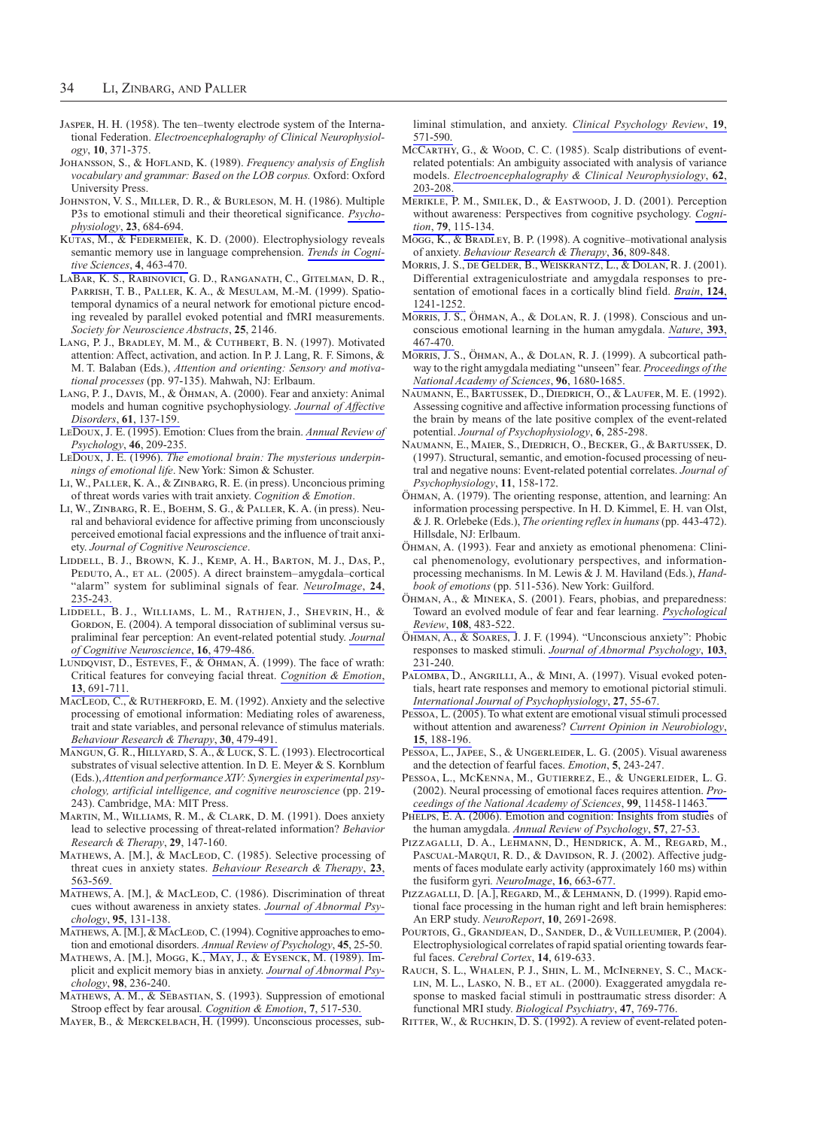- JASPER, H. H. (1958). The ten-twenty electrode system of the International Federation. Electroencephalography of Clinical Neurophysiology, 10, 371-375.
- JOHANSSON, S., & HOFLAND, K. (1989). Frequency analysis of English vocabulary and grammar: Based on the LOB corpus. Oxford: Oxford University Press.
- JOHNSTON, V. S., MILLER, D. R., & BURLESON, M. H. (1986). Multiple P3s to emotional stimuli and their theoretical significance. Psychophysiology, 23, 684-694.
- KUTAS, M., & FEDERMEIER, K. D. (2000). Electrophysiology reveals semantic memory use in language comprehension. Trends in Cogni*tive Sciences*, 4, 463-470.
- LABAR, K. S., RABINOVICI, G. D., RANGANATH, C., GITELMAN, D. R., PARRISH, T. B., PALLER, K. A., & MESULAM, M.-M. (1999). Spatiotemporal dynamics of a neural network for emotional picture encoding revealed by parallel evoked potential and fMRI measurements. Society for Neuroscience Abstracts, 25, 2146.
- LANG, P. J., BRADLEY, M. M., & CUTHBERT, B. N. (1997). Motivated attention: Affect, activation, and action. In P. J. Lang, R. F. Simons, & M. T. Balaban (Eds.), Attention and orienting: Sensory and motivational processes (pp. 97-135). Mahwah, NJ: Erlbaum.
- LANG, P. J., DAVIS, M., & ÖHMAN, A. (2000). Fear and anxiety: Animal models and human cognitive psychophysiology. Journal of Affective Disorders, 61, 137-159.
- LEDOUX, J. E. (1995). Emotion: Clues from the brain. Annual Review of Psychology, 46, 209-235.
- LEDOUX, J. E. (1996). The emotional brain: The mysterious underpinnings of emotional life. New York: Simon & Schuster.
- LI, W., PALLER, K. A., & ZINBARG, R. E. (in press). Unconcious priming of threat words varies with trait anxiety. Cognition & Emotion.
- LI, W., ZINBARG, R. E., BOEHM, S. G., & PALLER, K. A. (in press). Neural and behavioral evidence for affective priming from unconsciously perceived emotional facial expressions and the influence of trait anxiety. Journal of Cognitive Neuroscience.
- LIDDELL, B. J., BROWN, K. J., KEMP, A. H., BARTON, M. J., DAS, P., PEDUTO, A., ET AL. (2005). A direct brainstem-amygdala-cortical "alarm" system for subliminal signals of fear. NeuroImage, 24, 235-243.
- LIDDELL, B. J., WILLIAMS, L. M., RATHJEN, J., SHEVRIN, H., & GORDON, E. (2004). A temporal dissociation of subliminal versus supraliminal fear perception: An event-related potential study. Journal of Cognitive Neuroscience, 16, 479-486.
- LUNDQVIST, D., ESTEVES, F., & OHMAN, A. (1999). The face of wrath: Critical features for conveying facial threat. Cognition & Emotion,  $13,691-711.$
- MACLEOD, C., & RUTHERFORD, E. M. (1992). Anxiety and the selective processing of emotional information: Mediating roles of awareness, trait and state variables, and personal relevance of stimulus materials. Behaviour Research & Therapy, 30, 479-491.
- MANGUN, G. R., HILLYARD, S. A., & LUCK, S. L. (1993). Electrocortical substrates of visual selective attention. In D. E. Meyer & S. Kornblum (Eds.), Attention and performance XIV: Synergies in experimental psychology, artificial intelligence, and cognitive neuroscience (pp. 219-243). Cambridge, MA: MIT Press.
- MARTIN, M., WILLIAMS, R. M., & CLARK, D. M. (1991). Does anxiety lead to selective processing of threat-related information? Behavior Research & Therapy, 29, 147-160.
- MATHEWS, A. [M.], & MACLEOD, C. (1985). Selective processing of threat cues in anxiety states. Behaviour Research & Therapy, 23, 563-569
- MATHEWS, A. [M.], & MACLEOD, C. (1986). Discrimination of threat cues without awareness in anxiety states. Journal of Abnormal Psychology, 95, 131-138.
- MATHEWS, A. [M.], & MACLEOD, C. (1994). Cognitive approaches to emotion and emotional disorders. Annual Review of Psychology, 45, 25-50.
- MATHEWS, A. [M.], MOGG, K., MAY, J., & EYSENCK, M. (1989). Implicit and explicit memory bias in anxiety. Journal of Abnormal Psychology, 98, 236-240.
- MATHEWS, A. M., & SEBASTIAN, S. (1993). Suppression of emotional Stroop effect by fear arousal. Cognition & Emotion, 7, 517-530.
- MAYER, B., & MERCKELBACH, H. (1999). Unconscious processes, sub-

liminal stimulation, and anxiety. Clinical Psychology Review, 19, 571-590.

- MCCARTHY, G., & WOOD, C. C. (1985). Scalp distributions of eventrelated potentials: An ambiguity associated with analysis of variance models. Electroencephalography & Clinical Neurophysiology, 62, 203-208
- MERIKLE, P. M., SMILEK, D., & EASTWOOD, J. D. (2001). Perception without awareness: Perspectives from cognitive psychology. Cognition, 79, 115-134.
- MoGG, K., & BRADLEY, B. P. (1998). A cognitive-motivational analysis of anxiety. Behaviour Research & Therapy, 36, 809-848.
- MORRIS, J. S., DE GELDER, B., WEISKRANTZ, L., & DOLAN, R. J. (2001). Differential extrageniculostriate and amygdala responses to presentation of emotional faces in a cortically blind field. Brain, 124, 1241-1252
- MORRIS, J. S., ÖHMAN, A., & DOLAN, R. J. (1998). Conscious and unconscious emotional learning in the human amygdala. Nature, 393, 467-470.
- MORRIS, J. S., ÖHMAN, A., & DOLAN, R. J. (1999). A subcortical pathway to the right amygdala mediating "unseen" fear. *Proceedings of the* National Academy of Sciences, 96, 1680-1685.
- NAUMANN, E., BARTUSSEK, D., DIEDRICH, O., & LAUFER, M. E. (1992). Assessing cognitive and affective information processing functions of the brain by means of the late positive complex of the event-related potential. Journal of Psychophysiology, 6, 285-298.
- NAUMANN, E., MAIER, S., DIEDRICH, O., BECKER, G., & BARTUSSEK, D. (1997). Structural, semantic, and emotion-focused processing of neutral and negative nouns: Event-related potential correlates. Journal of Psychophysiology, 11, 158-172.
- ÖHMAN, A. (1979). The orienting response, attention, and learning: An information processing perspective. In H. D. Kimmel, E. H. van Olst, & J. R. Orlebeke (Eds.), The orienting reflex in humans (pp. 443-472). Hillsdale, NJ: Erlbaum.
- ÖHMAN, A. (1993). Fear and anxiety as emotional phenomena: Clinical phenomenology, evolutionary perspectives, and informationprocessing mechanisms. In M. Lewis & J. M. Haviland (Eds.), *Hand*book of emotions (pp. 511-536). New York: Guilford.
- OHMAN, A., & MINEKA, S. (2001). Fears, phobias, and preparedness: Toward an evolved module of fear and fear learning. Psychological Review, 108, 483-522
- ÖHMAN, A., & SOARES, J. J. F. (1994). "Unconscious anxiety": Phobic responses to masked stimuli. Journal of Abnormal Psychology, 103, 231-240
- PALOMBA, D., ANGRILLI, A., & MINI, A. (1997). Visual evoked potentials, heart rate responses and memory to emotional pictorial stimuli. International Journal of Psychophysiology, 27, 55-67.
- PESSOA, L. (2005). To what extent are emotional visual stimuli processed without attention and awareness? Current Opinion in Neurobiology, 15, 188-196.
- PESSOA, L., JAPEE, S., & UNGERLEIDER, L. G. (2005). Visual awareness and the detection of fearful faces. *Emotion*, 5, 243-247.
- PESSOA, L., MCKENNA, M., GUTIERREZ, E., & UNGERLEIDER, L. G. (2002). Neural processing of emotional faces requires attention. Proceedings of the National Academy of Sciences, 99, 11458-11463.
- PHELPS, E. A. (2006). Emotion and cognition: Insights from studies of the human amygdala. Annual Review of Psychology, 57, 27-53.
- PIZZAGALLI, D. A., LEHMANN, D., HENDRICK, A. M., REGARD, M., PASCUAL-MARQUI, R. D., & DAVIDSON, R. J. (2002). Affective judgments of faces modulate early activity (approximately 160 ms) within the fusiform gyri. NeuroImage, 16, 663-677.
- PIZZAGALLI, D. [A.], REGARD, M., & LEHMANN, D. (1999). Rapid emotional face processing in the human right and left brain hemispheres: An ERP study. NeuroReport, 10, 2691-2698.
- POURTOIS, G., GRANDJEAN, D., SANDER, D., & VUILLEUMIER, P. (2004). Electrophysiological correlates of rapid spatial orienting towards fearful faces. Cerebral Cortex, 14, 619-633.
- RAUCH, S. L., WHALEN, P. J., SHIN, L. M., MCINERNEY, S. C., MACK-LIN, M. L., LASKO, N. B., ET AL. (2000). Exaggerated amygdala response to masked facial stimuli in posttraumatic stress disorder: A functional MRI study. *Biological Psychiatry*, 47, 769-776.

RITTER, W., & RUCHKIN, D. S. (1992). A review of event-related poten-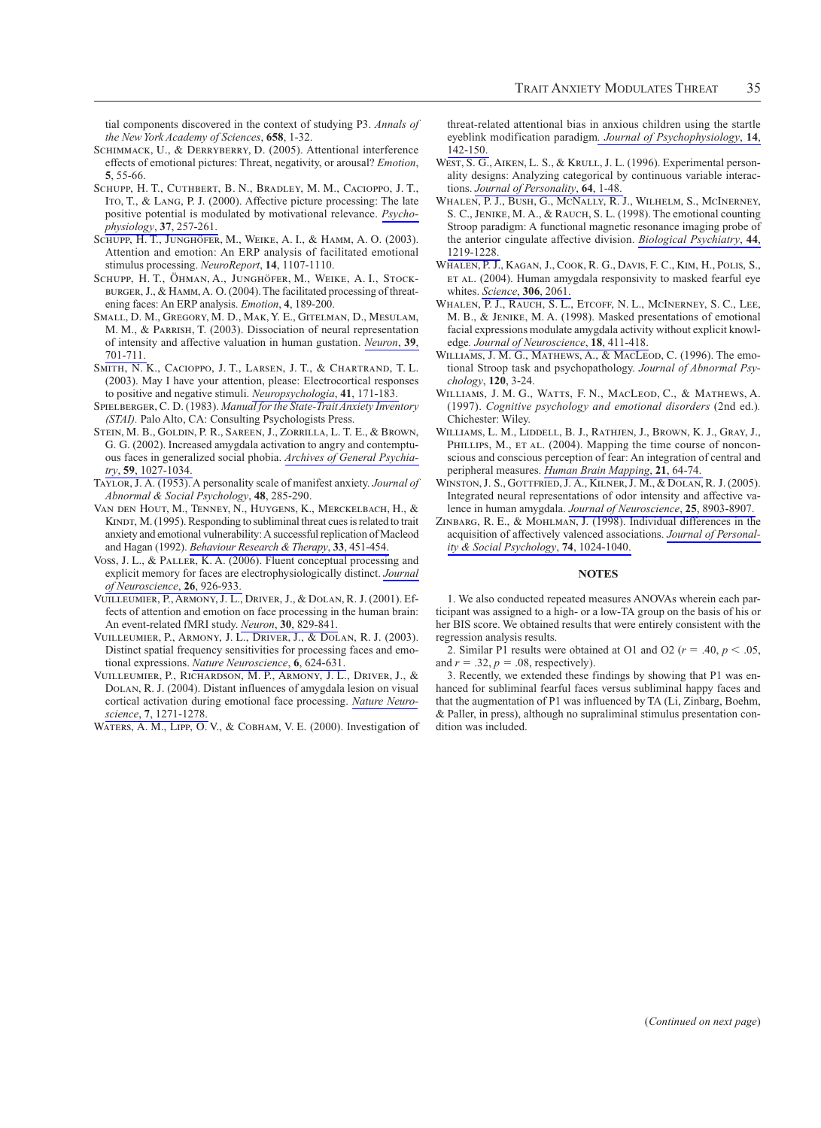tial components discovered in the context of studying P3. Annals of the New York Academy of Sciences, 658, 1-32.

- SCHIMMACK, U., & DERRYBERRY, D. (2005). Attentional interference effects of emotional pictures: Threat, negativity, or arousal? Emotion,  $5, 55-66.$
- SCHUPP, H. T., CUTHBERT, B. N., BRADLEY, M. M., CACIOPPO, J. T., ITO, T., & LANG, P. J. (2000). Affective picture processing: The late positive potential is modulated by motivational relevance. Psychophysiology, 37, 257-261.
- SCHUPP, H. T., JUNGHÖFER, M., WEIKE, A. I., & HAMM, A. O. (2003). Attention and emotion: An ERP analysis of facilitated emotional stimulus processing. NeuroReport, 14, 1107-1110.
- SCHUPP, H. T., OHMAN, A., JUNGHÖFER, M., WEIKE, A. I., STOCK-BURGER, J., & HAMM, A. O. (2004). The facilitated processing of threatening faces: An ERP analysis. *Emotion*, 4, 189-200.
- SMALL, D. M., GREGORY, M. D., MAK, Y. E., GITELMAN, D., MESULAM, M. M., & PARRISH, T. (2003). Dissociation of neural representation of intensity and affective valuation in human gustation. Neuron, 39, 701-711.
- SMITH, N. K., CACIOPPO, J. T., LARSEN, J. T., & CHARTRAND, T. L. (2003). May I have your attention, please: Electrocortical responses to positive and negative stimuli. Neuropsychologia, 41, 171-183.
- SPIELBERGER, C. D. (1983). Manual for the State-Trait Anxiety Inventory (STAI). Palo Alto, CA: Consulting Psychologists Press.
- STEIN, M. B., GOLDIN, P. R., SAREEN, J., ZORRILLA, L. T. E., & BROWN, G. G. (2002). Increased amygdala activation to angry and contemptuous faces in generalized social phobia. Archives of General Psychia $try, 59, 1027-1034.$
- TAYLOR, J. A. (1953). A personality scale of manifest anxiety. Journal of Abnormal & Social Psychology, 48, 285-290.
- VAN DEN HOUT, M., TENNEY, N., HUYGENS, K., MERCKELBACH, H., & KINDT, M. (1995). Responding to subliminal threat cues is related to trait anxiety and emotional vulnerability: A successful replication of Macleod and Hagan (1992). Behaviour Research & Therapy, 33, 451-454.
- Voss, J. L., & PALLER, K. A. (2006). Fluent conceptual processing and explicit memory for faces are electrophysiologically distinct. Journal of Neuroscience, 26, 926-933.
- VUILLEUMIER, P., ARMONY, J. L., DRIVER, J., & DOLAN, R. J. (2001). Effects of attention and emotion on face processing in the human brain: An event-related fMRI study. Neuron, 30, 829-841.
- VUILLEUMIER, P., ARMONY, J. L., DRIVER, J., & DOLAN, R. J. (2003). Distinct spatial frequency sensitivities for processing faces and emotional expressions. Nature Neuroscience, 6, 624-631.
- VUILLEUMIER, P., RICHARDSON, M. P., ARMONY, J. L., DRIVER, J., & DOLAN, R. J. (2004). Distant influences of amygdala lesion on visual cortical activation during emotional face processing. Nature Neuroscience, 7, 1271-1278.
- WATERS, A. M., LIPP, O. V., & COBHAM, V. E. (2000). Investigation of

threat-related attentional bias in anxious children using the startle eyeblink modification paradigm. Journal of Psychophysiology, 14, 142-150

- WEST, S. G., AIKEN, L. S., & KRULL, J. L. (1996). Experimental personality designs: Analyzing categorical by continuous variable interactions. Journal of Personality, 64, 1-48.
- WHALEN, P. J., BUSH, G., MCNALLY, R. J., WILHELM, S., MCINERNEY, S. C., JENIKE, M. A., & RAUCH, S. L. (1998). The emotional counting Stroop paradigm: A functional magnetic resonance imaging probe of the anterior cingulate affective division. Biological Psychiatry, 44, 1219-1228.
- WHALEN, P. J., KAGAN, J., COOK, R. G., DAVIS, F. C., KIM, H., POLIS, S., ET AL. (2004). Human amygdala responsivity to masked fearful eye whites. Science, 306, 2061.
- WHALEN, P. J., RAUCH, S. L., ETCOFF, N. L., MCINERNEY, S. C., LEE, M. B., & JENIKE, M. A. (1998). Masked presentations of emotional facial expressions modulate amygdala activity without explicit knowledge. Journal of Neuroscience, 18, 411-418.
- WILLIAMS, J. M. G., MATHEWS, A., & MACLEOD, C. (1996). The emotional Stroop task and psychopathology. Journal of Abnormal Psychology, 120, 3-24.
- WILLIAMS, J. M. G., WATTS, F. N., MACLEOD, C., & MATHEWS, A. (1997). Cognitive psychology and emotional disorders (2nd ed.). Chichester: Wiley.
- WILLIAMS, L. M., LIDDELL, B. J., RATHJEN, J., BROWN, K. J., GRAY, J., PHILLIPS, M., ET AL. (2004). Mapping the time course of nonconscious and conscious perception of fear: An integration of central and peripheral measures. Human Brain Mapping, 21, 64-74.
- WINSTON, J. S., GOTTFRIED, J. A., KILNER, J. M., & DOLAN, R. J. (2005). Integrated neural representations of odor intensity and affective valence in human amygdala. Journal of Neuroscience, 25, 8903-8907.
- ZINBARG, R. E., & MOHLMAN, J. (1998). Individual differences in the acquisition of affectively valenced associations. Journal of Personality & Social Psychology, 74, 1024-1040.

#### **NOTES**

1. We also conducted repeated measures ANOVAs wherein each participant was assigned to a high- or a low-TA group on the basis of his or her BIS score. We obtained results that were entirely consistent with the regression analysis results.

2. Similar P1 results were obtained at O1 and O2 ( $r = .40$ ,  $p < .05$ , and  $r = .32$ ,  $p = .08$ , respectively).

3. Recently, we extended these findings by showing that P1 was enhanced for subliminal fearful faces versus subliminal happy faces and that the augmentation of P1 was influenced by TA (Li, Zinbarg, Boehm, & Paller, in press), although no supraliminal stimulus presentation condition was included.